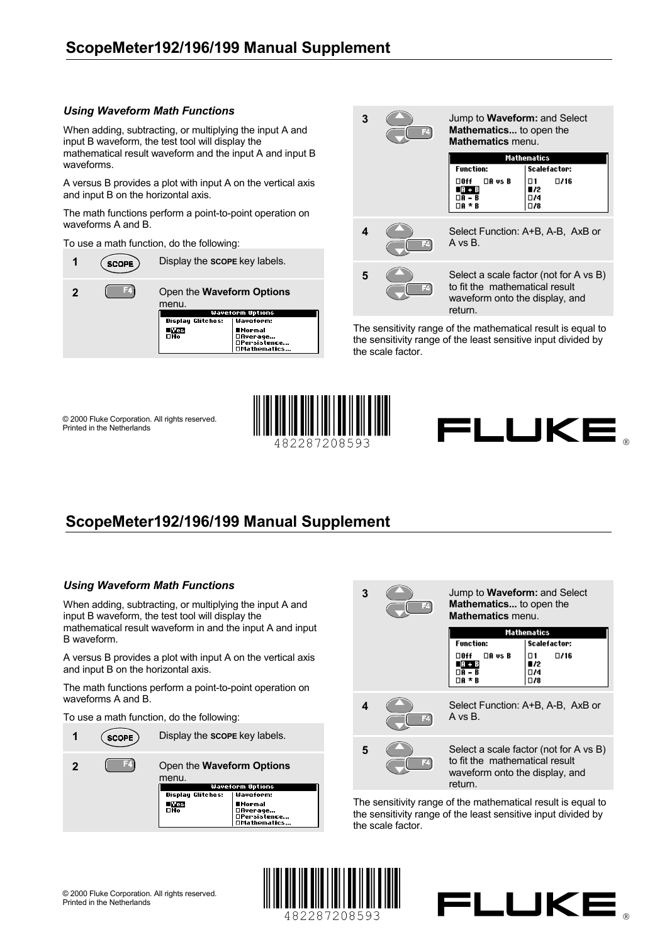## **ScopeMeter192/196/199 Manual Supplement**

## *Using Waveform Math Functions*

When adding, subtracting, or multiplying the input A and input B waveform, the test tool will display the mathematical result waveform and the input A and input B waveforms.

A versus B provides a plot with input A on the vertical axis and input B on the horizontal axis.

The math functions perform a point-to-point operation on waveforms A and B.

To use a math function, do the following:





The sensitivity range of the mathematical result is equal to the sensitivity range of the least sensitive input divided by the scale factor.

© 2000 Fluke Corporation. All rights reserved. Printed in the Netherlands



FLUKE